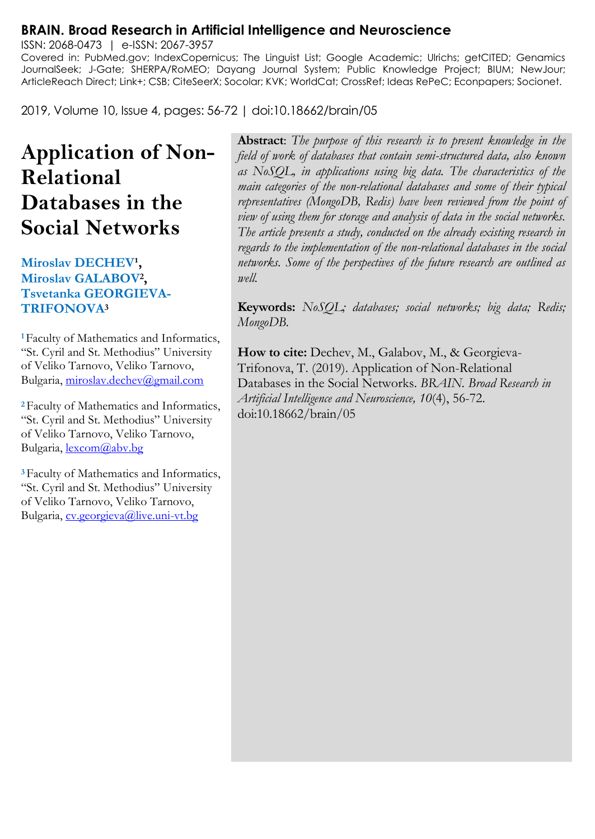#### **BRAIN. Broad Research in Artificial Intelligence and Neuroscience**

ISSN: 2068-0473 | e-ISSN: 2067-3957 Covered in: PubMed.gov; IndexCopernicus; The Linguist List; Google Academic; Ulrichs; getCITED; Genamics JournalSeek; J-Gate; SHERPA/RoMEO; Dayang Journal System; Public Knowledge Project; BIUM; NewJour; ArticleReach Direct; Link+; CSB; CiteSeerX; Socolar; KVK; WorldCat; CrossRef; Ideas RePeC; Econpapers; Socionet.

2019, Volume 10, Issue 4, pages: 56-72 | doi:10.18662/brain/05

# **Application of Non-Relational Databases in the Social Networks**

#### **Miroslav DECHEV¹, Miroslav GALABOV<sup>2</sup> , Tsvetanka GEORGIEVA-TRIFONOVA<sup>3</sup>**

**<sup>1</sup>**Faculty of Mathematics and Informatics, "St. Cyril and St. Methodius" University of Veliko Tarnovo, Veliko Tarnovo, Bulgaria, [miroslav.dechev@gmail.com](mailto:miroslav.dechev@gmail.com)

**<sup>2</sup>**Faculty of Mathematics and Informatics, "St. Cyril and St. Methodius" University of Veliko Tarnovo, Veliko Tarnovo, Bulgaria, [lexcom@abv.bg](mailto:lexcom@abv.bg)

**<sup>3</sup>**Faculty of Mathematics and Informatics, "St. Cyril and St. Methodius" University of Veliko Tarnovo, Veliko Tarnovo, Bulgaria, [cv.georgieva@live.uni-vt.bg](mailto:cv.georgieva@live.uni-vt.bg)

**Abstract**: *The purpose of this research is to present knowledge in the field of work of databases that contain semi-structured data, also known as NoSQL, in applications using big data. The characteristics of the main categories of the non-relational databases and some of their typical representatives (MongoDB, Redis) have been reviewed from the point of view of using them for storage and analysis of data in the social networks. The article presents a study, conducted on the already existing research in regards to the implementation of the non-relational databases in the social networks. Some of the perspectives of the future research are outlined as well.*

**Keywords:** *NoSQL; databases; social networks; big data; Redis; MongoDB.*

**How to cite:** Dechev, M., Galabov, M., & Georgieva-Trifonova, T. (2019). Application of Non-Relational Databases in the Social Networks. *BRAIN. Broad Research in Artificial Intelligence and Neuroscience, 10*(4), 56-72. doi:10.18662/brain/05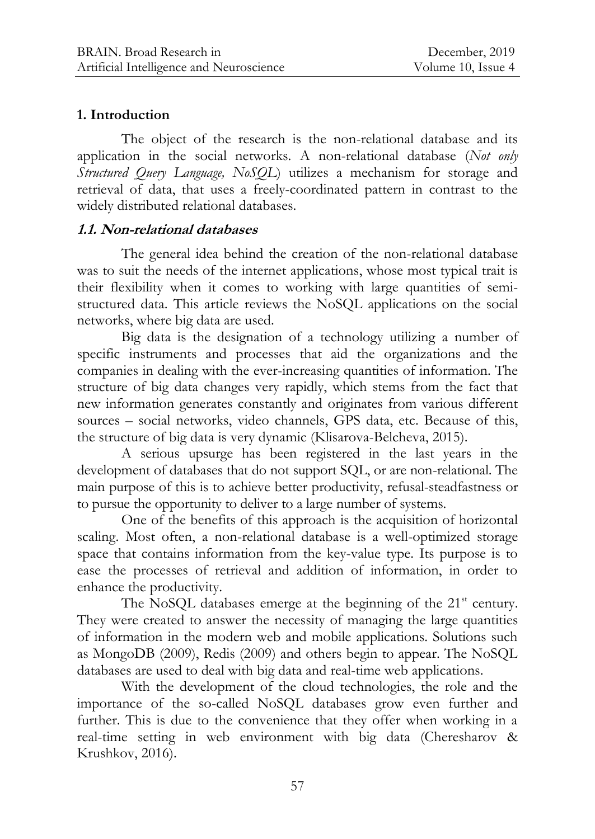### **1. Introduction**

The object of the research is the non-relational database and its application in the social networks. A non-relational database (*Not only Structured Query Language, NoSQL*) utilizes a mechanism for storage and retrieval of data, that uses a freely-coordinated pattern in contrast to the widely distributed relational databases.

### **1.1. Non-relational databases**

The general idea behind the creation of the non-relational database was to suit the needs of the internet applications, whose most typical trait is their flexibility when it comes to working with large quantities of semistructured data. This article reviews the NoSQL applications on the social networks, where big data are used.

Big data is the designation of a technology utilizing a number of specific instruments and processes that aid the organizations and the companies in dealing with the ever-increasing quantities of information. The structure of big data changes very rapidly, which stems from the fact that new information generates constantly and originates from various different sources – social networks, video channels, GPS data, etc. Because of this, the structure of big data is very dynamic (Klisarova-Belcheva, 2015).

A serious upsurge has been registered in the last years in the development of databases that do not support SQL, or are non-relational. The main purpose of this is to achieve better productivity, refusal-steadfastness or to pursue the opportunity to deliver to a large number of systems.

One of the benefits of this approach is the acquisition of horizontal scaling. Most often, a non-relational database is a well-optimized storage space that contains information from the key-value type. Its purpose is to ease the processes of retrieval and addition of information, in order to enhance the productivity.

The NoSQL databases emerge at the beginning of the  $21<sup>st</sup>$  century. They were created to answer the necessity of managing the large quantities of information in the modern web and mobile applications. Solutions such as MongoDB (2009), Redis (2009) and others begin to appear. The NoSQL databases are used to deal with big data and real-time web applications.

With the development of the cloud technologies, the role and the importance of the so-called NoSQL databases grow even further and further. This is due to the convenience that they offer when working in a real-time setting in web environment with big data (Cheresharov & Krushkov, 2016).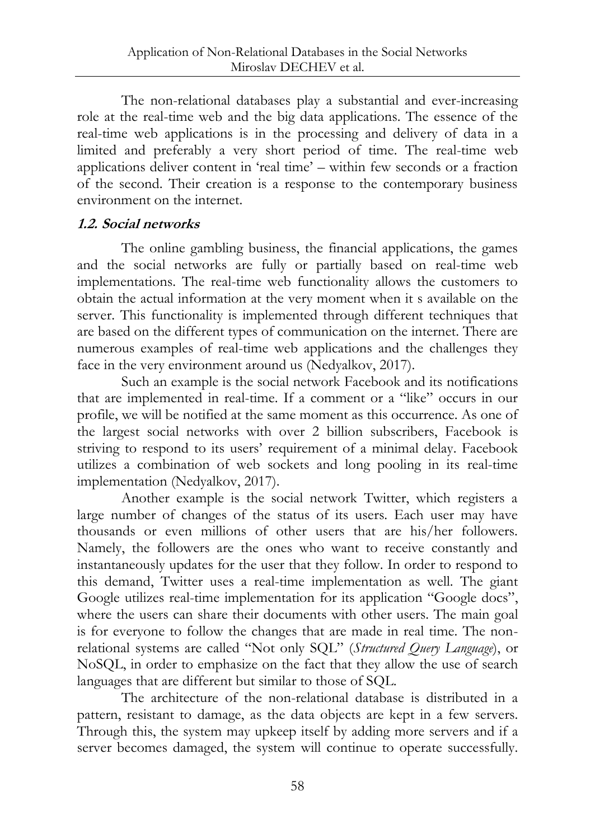The non-relational databases play a substantial and ever-increasing role at the real-time web and the big data applications. The essence of the real-time web applications is in the processing and delivery of data in a limited and preferably a very short period of time. The real-time web applications deliver content in "real time" – within few seconds or a fraction of the second. Their creation is a response to the contemporary business environment on the internet.

### **1.2. Social networks**

The online gambling business, the financial applications, the games and the social networks are fully or partially based on real-time web implementations. The real-time web functionality allows the customers to obtain the actual information at the very moment when it s available on the server. This functionality is implemented through different techniques that are based on the different types of communication on the internet. There are numerous examples of real-time web applications and the challenges they face in the very environment around us (Nedyalkov, 2017).

Such an example is the social network Facebook and its notifications that are implemented in real-time. If a comment or a "like" occurs in our profile, we will be notified at the same moment as this occurrence. As one of the largest social networks with over 2 billion subscribers, Facebook is striving to respond to its users' requirement of a minimal delay. Facebook utilizes a combination of web sockets and long pooling in its real-time implementation (Nedyalkov, 2017).

Another example is the social network Twitter, which registers a large number of changes of the status of its users. Each user may have thousands or even millions of other users that are his/her followers. Namely, the followers are the ones who want to receive constantly and instantaneously updates for the user that they follow. In order to respond to this demand, Twitter uses a real-time implementation as well. The giant Google utilizes real-time implementation for its application "Google docs", where the users can share their documents with other users. The main goal is for everyone to follow the changes that are made in real time. The nonrelational systems are called "Not only SQL" (*Structured Query Language*), or NoSQL, in order to emphasize on the fact that they allow the use of search languages that are different but similar to those of SQL.

The architecture of the non-relational database is distributed in a pattern, resistant to damage, as the data objects are kept in a few servers. Through this, the system may upkeep itself by adding more servers and if a server becomes damaged, the system will continue to operate successfully.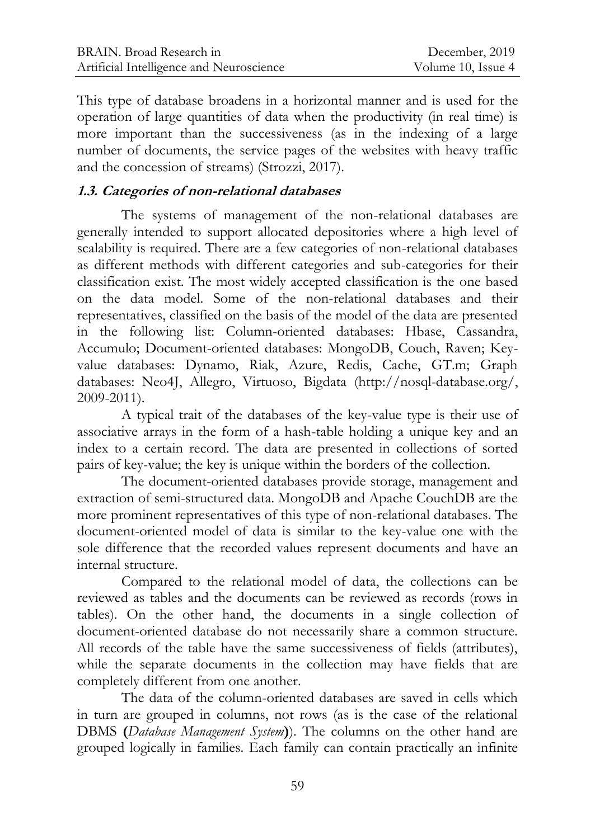This type of database broadens in a horizontal manner and is used for the operation of large quantities of data when the productivity (in real time) is more important than the successiveness (as in the indexing of a large number of documents, the service pages of the websites with heavy traffic and the concession of streams) (Strozzi, 2017).

## **1.3. Categories of non-relational databases**

The systems of management of the non-relational databases are generally intended to support allocated depositories where a high level of scalability is required. There are a few categories of non-relational databases as different methods with different categories and sub-categories for their classification exist. The most widely accepted classification is the one based on the data model. Some of the non-relational databases and their representatives, classified on the basis of the model of the data are presented in the following list: Column-oriented databases: Hbase, Cassandra, Accumulo; Document-oriented databases: MongoDB, Couch, Raven; Keyvalue databases: Dynamo, Riak, Azure, Redis, Cache, GT.m; Graph databases: Neo4J, Allegro, Virtuoso, Bigdata [\(http://nosql-database.org/,](http://nosql-database.org/) 2009-2011).

A typical trait of the databases of the key-value type is their use of associative arrays in the form of a hash-table holding a unique key and an index to a certain record. The data are presented in collections of sorted pairs of key-value; the key is unique within the borders of the collection.

The document-oriented databases provide storage, management and extraction of semi-structured data. MongoDB and Apache CouchDB are the more prominent representatives of this type of non-relational databases. The document-oriented model of data is similar to the key-value one with the sole difference that the recorded values represent documents and have an internal structure.

Compared to the relational model of data, the collections can be reviewed as tables and the documents can be reviewed as records (rows in tables). On the other hand, the documents in a single collection of document-oriented database do not necessarily share a common structure. All records of the table have the same successiveness of fields (attributes), while the separate documents in the collection may have fields that are completely different from one another.

The data of the column-oriented databases are saved in cells which in turn are grouped in columns, not rows (as is the case of the relational DBMS **(***Database Management System***)**). The columns on the other hand are grouped logically in families. Each family can contain practically an infinite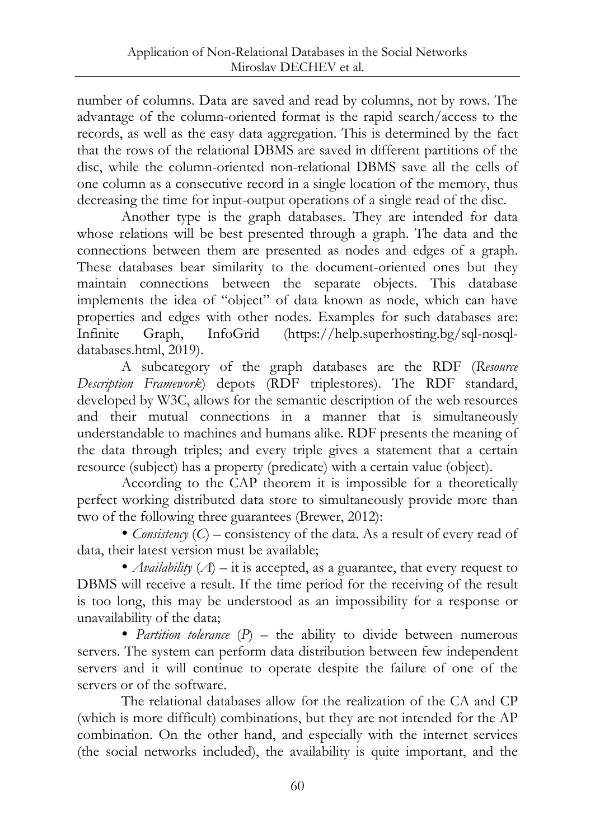number of columns. Data are saved and read by columns, not by rows. The advantage of the column-oriented format is the rapid search/access to the records, as well as the easy data aggregation. This is determined by the fact that the rows of the relational DBMS are saved in different partitions of the disc, while the column-oriented non-relational DBMS save all the cells of one column as a consecutive record in a single location of the memory, thus decreasing the time for input-output operations of a single read of the disc.

Another type is the graph databases. They are intended for data whose relations will be best presented through a graph. The data and the connections between them are presented as nodes and edges of a graph. These databases bear similarity to the document-oriented ones but they maintain connections between the separate objects. This database implements the idea of "object" of data known as node, which can have properties and edges with other nodes. Examples for such databases are: Infinite Graph, InfoGrid [\(https://help.superhosting.bg/sql-nosql](https://help.superhosting.bg/sql-nosql-databases.html)[databases.html,](https://help.superhosting.bg/sql-nosql-databases.html) 2019).

A subcategory of the graph databases are the RDF (*Resource Description Framework*) depots (RDF triplestores). The RDF standard, developed by W3C, allows for the semantic description of the web resources and their mutual connections in a manner that is simultaneously understandable to machines and humans alike. RDF presents the meaning of the data through triples; and every triple gives a statement that a certain resource (subject) has a property (predicate) with a certain value (object).

According to the CAP theorem it is impossible for a theoretically perfect working distributed data store to simultaneously provide more than two of the following three guarantees (Brewer, 2012):

 *Consistency* (*C*) – consistency of the data. As a result of every read of data, their latest version must be available;

 *Availability* (*A*) – it is accepted, as a guarantee, that every request to DBMS will receive a result. If the time period for the receiving of the result is too long, this may be understood as an impossibility for a response or unavailability of the data;

• *Partition tolerance* (*P*) – the ability to divide between numerous servers. The system can perform data distribution between few independent servers and it will continue to operate despite the failure of one of the servers or of the software.

The relational databases allow for the realization of the CA and CP (which is more difficult) combinations, but they are not intended for the AP combination. On the other hand, and especially with the internet services (the social networks included), the availability is quite important, and the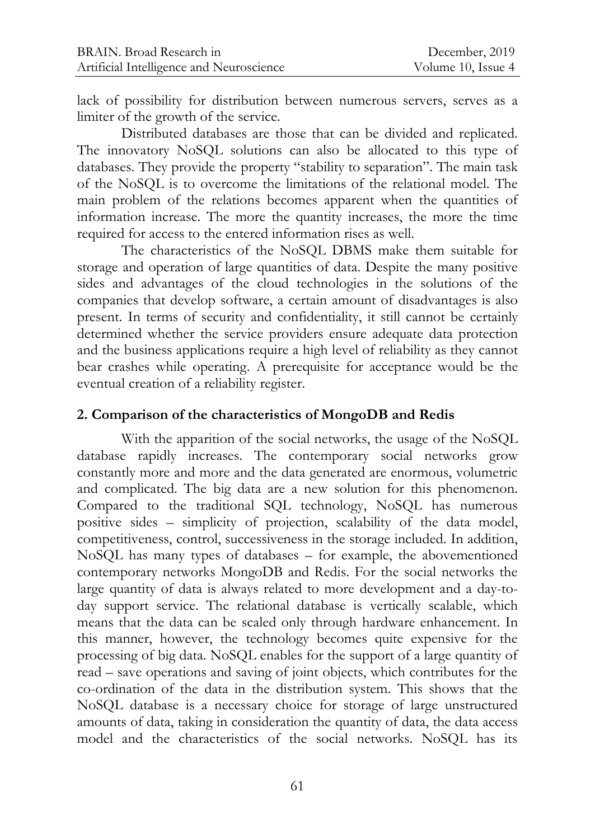lack of possibility for distribution between numerous servers, serves as a limiter of the growth of the service.

Distributed databases are those that can be divided and replicated. The innovatory NoSQL solutions can also be allocated to this type of databases. They provide the property "stability to separation". The main task of the NoSQL is to overcome the limitations of the relational model. The main problem of the relations becomes apparent when the quantities of information increase. The more the quantity increases, the more the time required for access to the entered information rises as well.

The characteristics of the NoSQL DBMS make them suitable for storage and operation of large quantities of data. Despite the many positive sides and advantages of the cloud technologies in the solutions of the companies that develop software, a certain amount of disadvantages is also present. In terms of security and confidentiality, it still cannot be certainly determined whether the service providers ensure adequate data protection and the business applications require a high level of reliability as they cannot bear crashes while operating. A prerequisite for acceptance would be the eventual creation of a reliability register.

#### **2. Comparison of the characteristics of MongoDB and Redis**

With the apparition of the social networks, the usage of the NoSQL database rapidly increases. The contemporary social networks grow constantly more and more and the data generated are enormous, volumetric and complicated. The big data are a new solution for this phenomenon. Compared to the traditional SQL technology, NoSQL has numerous positive sides – simplicity of projection, scalability of the data model, competitiveness, control, successiveness in the storage included. In addition, NoSQL has many types of databases – for example, the abovementioned contemporary networks MongoDB and Redis. For the social networks the large quantity of data is always related to more development and a day-today support service. The relational database is vertically scalable, which means that the data can be scaled only through hardware enhancement. In this manner, however, the technology becomes quite expensive for the processing of big data. NoSQL enables for the support of a large quantity of read – save operations and saving of joint objects, which contributes for the co-ordination of the data in the distribution system. This shows that the NoSQL database is a necessary choice for storage of large unstructured amounts of data, taking in consideration the quantity of data, the data access model and the characteristics of the social networks. NoSQL has its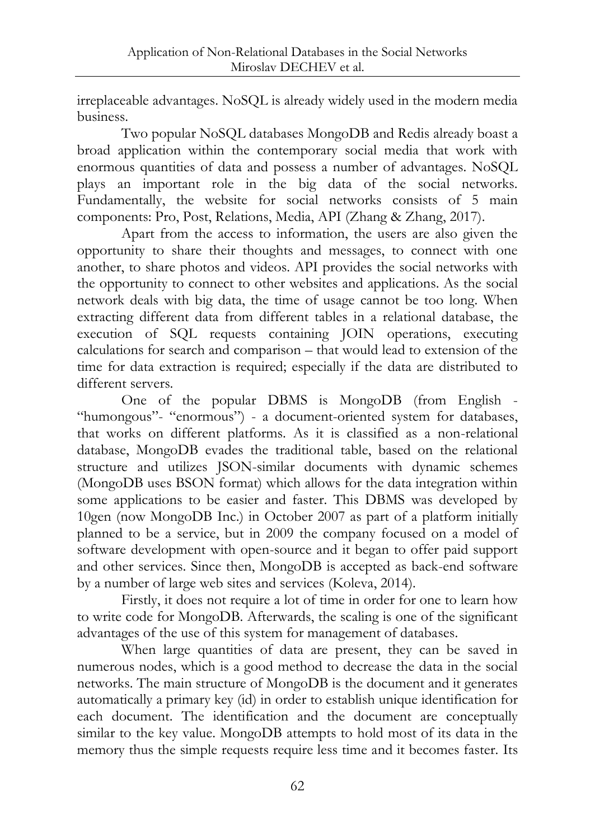irreplaceable advantages. NoSQL is already widely used in the modern media business.

Two popular NoSQL databases MongoDB and Redis already boast a broad application within the contemporary social media that work with enormous quantities of data and possess a number of advantages. NoSQL plays an important role in the big data of the social networks. Fundamentally, the website for social networks consists of 5 main components: Pro, Post, Relations, Media, API (Zhang & Zhang, 2017).

Apart from the access to information, the users are also given the opportunity to share their thoughts and messages, to connect with one another, to share photos and videos. API provides the social networks with the opportunity to connect to other websites and applications. As the social network deals with big data, the time of usage cannot be too long. When extracting different data from different tables in a relational database, the execution of SQL requests containing JOIN operations, executing calculations for search and comparison – that would lead to extension of the time for data extraction is required; especially if the data are distributed to different servers.

One of the popular DBMS is MongoDB (from English - "humongous"- "enormous") - a document-oriented system for databases, that works on different platforms. As it is classified as a non-relational database, MongoDB evades the traditional table, based on the relational structure and utilizes JSON-similar documents with dynamic schemes (MongoDB uses BSON format) which allows for the data integration within some applications to be easier and faster. This DBMS was developed by 10gen (now MongoDB Inc.) in October 2007 as part of a platform initially planned to be a service, but in 2009 the company focused on a model of software development with open-source and it began to offer paid support and other services. Since then, MongoDB is accepted as back-end software by a number of large web sites and services (Koleva, 2014).

Firstly, it does not require a lot of time in order for one to learn how to write code for MongoDB. Afterwards, the scaling is one of the significant advantages of the use of this system for management of databases.

When large quantities of data are present, they can be saved in numerous nodes, which is a good method to decrease the data in the social networks. The main structure of MongoDB is the document and it generates automatically a primary key (id) in order to establish unique identification for each document. The identification and the document are conceptually similar to the key value. MongoDB attempts to hold most of its data in the memory thus the simple requests require less time and it becomes faster. Its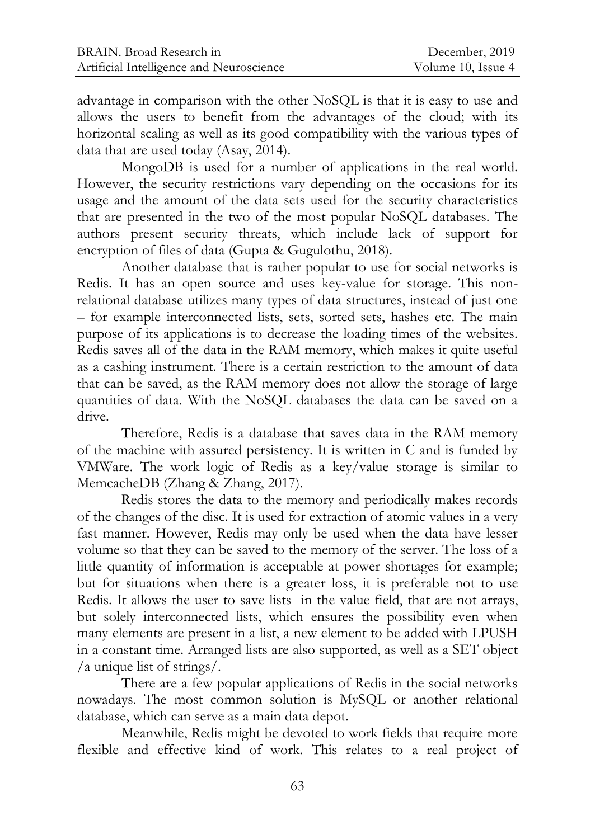advantage in comparison with the other NoSQL is that it is easy to use and allows the users to benefit from the advantages of the cloud; with its horizontal scaling as well as its good compatibility with the various types of data that are used today (Asay, 2014).

MongoDB is used for a number of applications in the real world. However, the security restrictions vary depending on the occasions for its usage and the amount of the data sets used for the security characteristics that are presented in the two of the most popular NoSQL databases. The authors present security threats, which include lack of support for encryption of files of data (Gupta & Gugulothu, 2018).

Another database that is rather popular to use for social networks is Redis. It has an open source and uses key-value for storage. This nonrelational database utilizes many types of data structures, instead of just one – for example interconnected lists, sets, sorted sets, hashes etc. The main purpose of its applications is to decrease the loading times of the websites. Redis saves all of the data in the RAM memory, which makes it quite useful as a cashing instrument. There is a certain restriction to the amount of data that can be saved, as the RAM memory does not allow the storage of large quantities of data. With the NoSQL databases the data can be saved on a drive.

Therefore, Redis is a database that saves data in the RAM memory of the machine with assured persistency. It is written in C and is funded by VMWare. The work logic of Redis as a key/value storage is similar to MemcacheDB (Zhang & Zhang, 2017).

Redis stores the data to the memory and periodically makes records of the changes of the disc. It is used for extraction of atomic values in a very fast manner. However, Redis may only be used when the data have lesser volume so that they can be saved to the memory of the server. The loss of a little quantity of information is acceptable at power shortages for example; but for situations when there is a greater loss, it is preferable not to use Redis. It allows the user to save lists in the value field, that are not arrays, but solely interconnected lists, which ensures the possibility even when many elements are present in a list, a new element to be added with LPUSH in a constant time. Arranged lists are also supported, as well as a SET object /a unique list of strings/.

There are a few popular applications of Redis in the social networks nowadays. The most common solution is MySQL or another relational database, which can serve as a main data depot.

Meanwhile, Redis might be devoted to work fields that require more flexible and effective kind of work. This relates to a real project of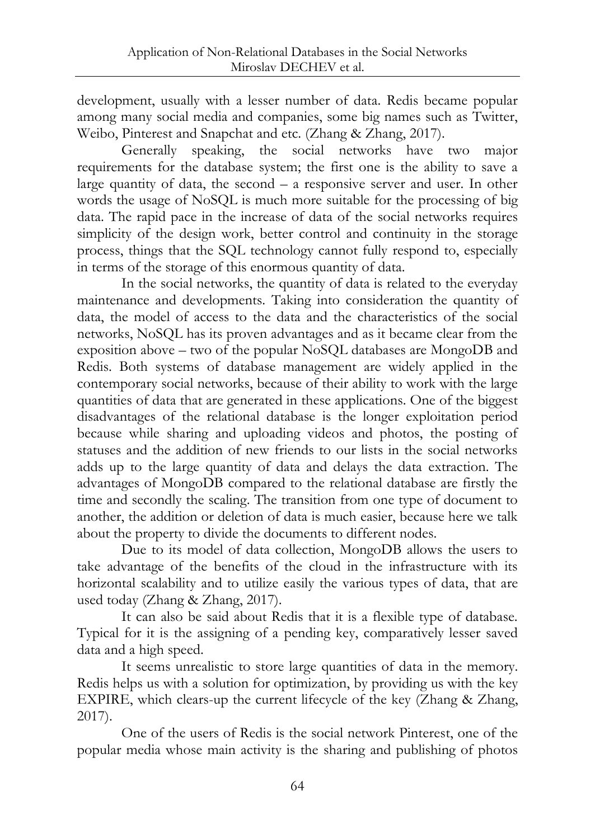development, usually with a lesser number of data. Redis became popular among many social media and companies, some big names such as Twitter, Weibo, Pinterest and Snapchat and etc. (Zhang & Zhang, 2017).

Generally speaking, the social networks have two major requirements for the database system; the first one is the ability to save a large quantity of data, the second – a responsive server and user. In other words the usage of NoSQL is much more suitable for the processing of big data. The rapid pace in the increase of data of the social networks requires simplicity of the design work, better control and continuity in the storage process, things that the SQL technology cannot fully respond to, especially in terms of the storage of this enormous quantity of data.

In the social networks, the quantity of data is related to the everyday maintenance and developments. Taking into consideration the quantity of data, the model of access to the data and the characteristics of the social networks, NoSQL has its proven advantages and as it became clear from the exposition above – two of the popular NoSQL databases are MongoDB and Redis. Both systems of database management are widely applied in the contemporary social networks, because of their ability to work with the large quantities of data that are generated in these applications. One of the biggest disadvantages of the relational database is the longer exploitation period because while sharing and uploading videos and photos, the posting of statuses and the addition of new friends to our lists in the social networks adds up to the large quantity of data and delays the data extraction. The advantages of MongoDB compared to the relational database are firstly the time and secondly the scaling. The transition from one type of document to another, the addition or deletion of data is much easier, because here we talk about the property to divide the documents to different nodes.

Due to its model of data collection, MongoDB allows the users to take advantage of the benefits of the cloud in the infrastructure with its horizontal scalability and to utilize easily the various types of data, that are used today (Zhang & Zhang, 2017).

It can also be said about Redis that it is a flexible type of database. Typical for it is the assigning of a pending key, comparatively lesser saved data and a high speed.

It seems unrealistic to store large quantities of data in the memory. Redis helps us with a solution for optimization, by providing us with the key EXPIRE, which clears-up the current lifecycle of the key (Zhang & Zhang, 2017).

One of the users of Redis is the social network Pinterest, one of the popular media whose main activity is the sharing and publishing of photos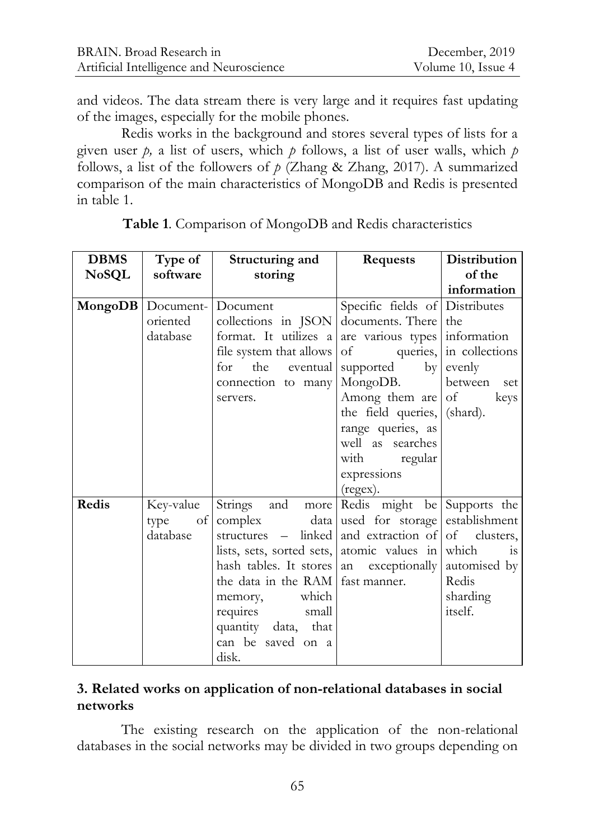and videos. The data stream there is very large and it requires fast updating of the images, especially for the mobile phones.

Redis works in the background and stores several types of lists for a given user *p,* a list of users, which *p* follows, a list of user walls, which *p* follows, a list of the followers of  $p$  (Zhang & Zhang, 2017). A summarized comparison of the main characteristics of MongoDB and Redis is presented in table 1.

| <b>DBMS</b>  | Type of             | Structuring and                                     | <b>Requests</b>                | Distribution       |
|--------------|---------------------|-----------------------------------------------------|--------------------------------|--------------------|
| <b>NoSQL</b> | software            | storing                                             |                                | of the             |
|              |                     |                                                     |                                | information        |
|              | MongoDB   Document- | Document                                            | Specific fields of Distributes |                    |
|              | oriented            | collections in JSON                                 | documents. There               | the                |
|              | database            | format. It utilizes a are various types information |                                |                    |
|              |                     | file system that allows                             | of queries, in collections     |                    |
|              |                     | for the<br>eventual l                               | supported<br>by                | evenly             |
|              |                     | connection to many                                  | MongoDB.                       | between set        |
|              |                     | servers.                                            | Among them are                 | $\sigma$<br>keys   |
|              |                     |                                                     | the field queries, (shard).    |                    |
|              |                     |                                                     | range queries, as              |                    |
|              |                     |                                                     | well as searches               |                    |
|              |                     |                                                     | with regular                   |                    |
|              |                     |                                                     | expressions                    |                    |
|              |                     |                                                     | (regex).                       |                    |
| Redis        | Key-value           | Strings and more Redis might be Supports the        |                                |                    |
|              | of<br>type          | complex data                                        | used for storage               | establishment      |
|              | database            | structures – linked                                 | and extraction of              | of clusters,       |
|              |                     | lists, sets, sorted sets, atomic values in          |                                | which<br><b>1S</b> |
|              |                     | hash tables. It stores an exceptionally             |                                | automised by       |
|              |                     | the data in the RAM fast manner.                    |                                | Redis              |
|              |                     | memory, which                                       |                                | sharding           |
|              |                     | requires small                                      |                                | itself.            |
|              |                     | quantity data, that                                 |                                |                    |
|              |                     | can be saved on a                                   |                                |                    |
|              |                     | disk.                                               |                                |                    |

**Table 1**. Comparison of MongoDB and Redis characteristics

## **3. Related works on application of non-relational databases in social networks**

The existing research on the application of the non-relational databases in the social networks may be divided in two groups depending on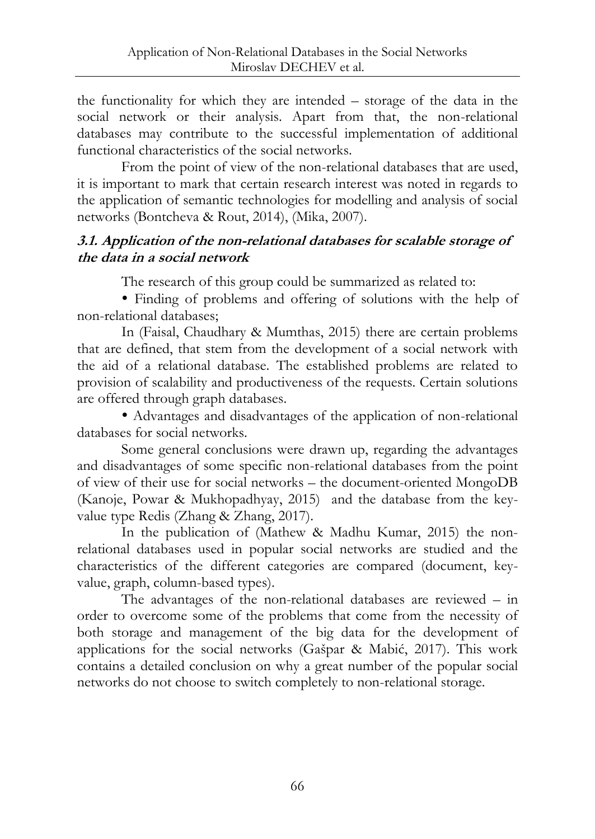the functionality for which they are intended – storage of the data in the social network or their analysis. Apart from that, the non-relational databases may contribute to the successful implementation of additional functional characteristics of the social networks.

From the point of view of the non-relational databases that are used, it is important to mark that certain research interest was noted in regards to the application of semantic technologies for modelling and analysis of social networks (Bontcheva & Rout, 2014), (Mika, 2007).

## **3.1. Application of the non-relational databases for scalable storage of the data in a social network**

The research of this group could be summarized as related to:

 Finding of problems and offering of solutions with the help of non-relational databases;

In (Faisal, Chaudhary & Mumthas, 2015) there are certain problems that are defined, that stem from the development of a social network with the aid of a relational database. The established problems are related to provision of scalability and productiveness of the requests. Certain solutions are offered through graph databases.

 Advantages and disadvantages of the application of non-relational databases for social networks.

Some general conclusions were drawn up, regarding the advantages and disadvantages of some specific non-relational databases from the point of view of their use for social networks – the document-oriented MongoDB (Kanoje, Powar & Mukhopadhyay, 2015) and the database from the keyvalue type Redis (Zhang & Zhang, 2017).

In the publication of (Mathew & Madhu Kumar, 2015) the nonrelational databases used in popular social networks are studied and the characteristics of the different categories are compared (document, keyvalue, graph, column-based types).

The advantages of the non-relational databases are reviewed – in order to overcome some of the problems that come from the necessity of both storage and management of the big data for the development of applications for the social networks (Gašpar & Mabić, 2017). This work contains a detailed conclusion on why a great number of the popular social networks do not choose to switch completely to non-relational storage.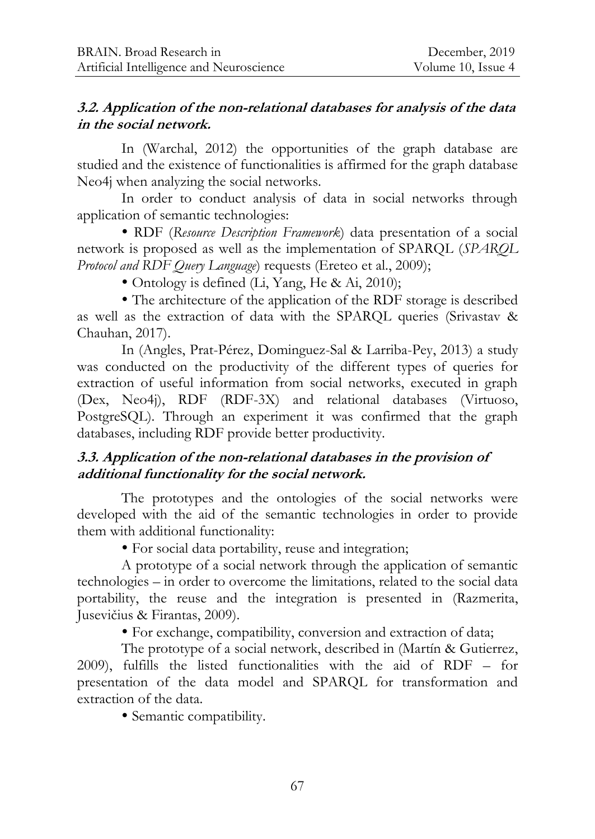#### **3.2. Application of the non-relational databases for analysis of the data in the social network.**

In (Warchal, 2012) the opportunities of the graph database are studied and the existence of functionalities is affirmed for the graph database Neo4j when analyzing the social networks.

In order to conduct analysis of data in social networks through application of semantic technologies:

 RDF (*Resource Description Framework*) data presentation of a social network is proposed as well as the implementation of SPARQL (*SPARQL Protocol and RDF Query Language*) requests (Ereteo et al., 2009);

Ontology is defined (Li, Yang, He & Ai, 2010);

 The architecture of the application of the RDF storage is described as well as the extraction of data with the SPARQL queries (Srivastav & Chauhan, 2017).

In (Angles, Prat-Pérez, Dominguez-Sal & Larriba-Pey, 2013) a study was conducted on the productivity of the different types of queries for extraction of useful information from social networks, executed in graph (Dex, Neo4j), RDF (RDF-3X) and relational databases (Virtuoso, PostgreSQL). Through an experiment it was confirmed that the graph databases, including RDF provide better productivity.

# **3.3. Application of the non-relational databases in the provision of additional functionality for the social network.**

The prototypes and the ontologies of the social networks were developed with the aid of the semantic technologies in order to provide them with additional functionality:

For social data portability, reuse and integration;

A prototype of a social network through the application of semantic technologies – in order to overcome the limitations, related to the social data portability, the reuse and the integration is presented in (Razmerita, Jusevičius & Firantas, 2009).

For exchange, compatibility, conversion and extraction of data;

The prototype of a social network, described in (Martín & Gutierrez, 2009), fulfills the listed functionalities with the aid of RDF – for presentation of the data model and SPARQL for transformation and extraction of the data.

• Semantic compatibility.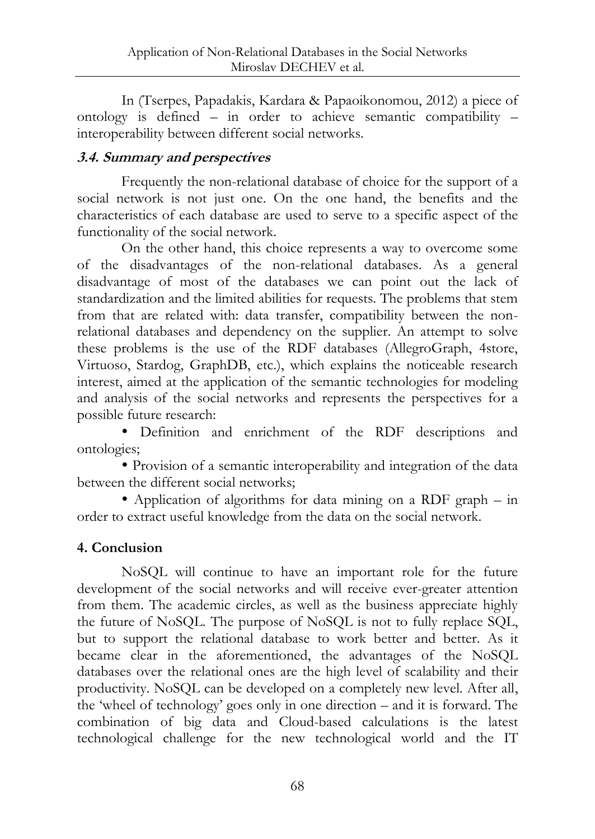In (Tserpes, Papadakis, Kardara & Papaoikonomou, 2012) a piece of ontology is defined – in order to achieve semantic compatibility – interoperability between different social networks.

## **3.4. Summary and perspectives**

Frequently the non-relational database of choice for the support of a social network is not just one. On the one hand, the benefits and the characteristics of each database are used to serve to a specific aspect of the functionality of the social network.

On the other hand, this choice represents a way to overcome some of the disadvantages of the non-relational databases. As a general disadvantage of most of the databases we can point out the lack of standardization and the limited abilities for requests. The problems that stem from that are related with: data transfer, compatibility between the nonrelational databases and dependency on the supplier. An attempt to solve these problems is the use of the RDF databases (AllegroGraph, 4store, Virtuoso, Stardog, GraphDB, etc.), which explains the noticeable research interest, aimed at the application of the semantic technologies for modeling and analysis of the social networks and represents the perspectives for a possible future research:

 Definition and enrichment of the RDF descriptions and ontologies;

 Provision of a semantic interoperability and integration of the data between the different social networks;

 Application of algorithms for data mining on a RDF graph – in order to extract useful knowledge from the data on the social network.

# **4. Conclusion**

NoSQL will continue to have an important role for the future development of the social networks and will receive ever-greater attention from them. The academic circles, as well as the business appreciate highly the future of NoSQL. The purpose of NoSQL is not to fully replace SQL, but to support the relational database to work better and better. As it became clear in the aforementioned, the advantages of the NoSQL databases over the relational ones are the high level of scalability and their productivity. NoSQL can be developed on a completely new level. After all, the "wheel of technology" goes only in one direction – and it is forward. The combination of big data and Cloud-based calculations is the latest technological challenge for the new technological world and the IT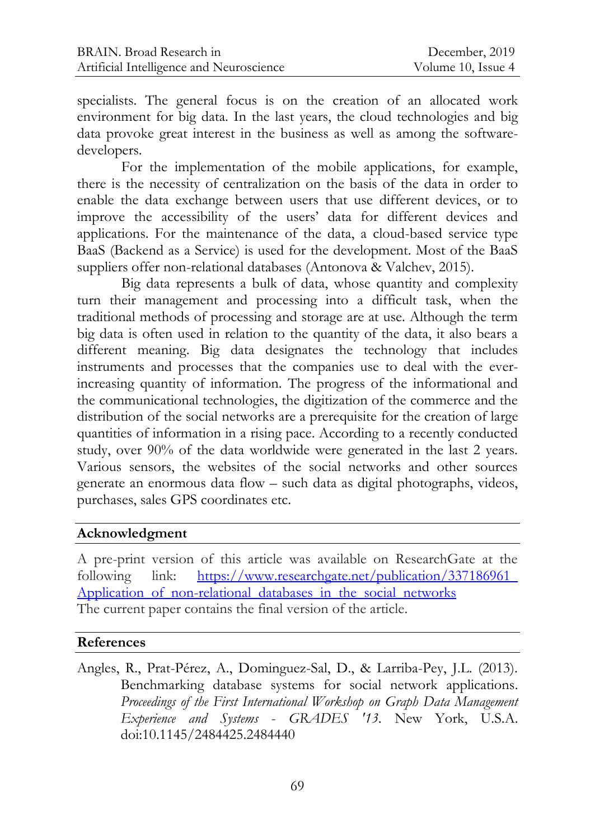specialists. The general focus is on the creation of an allocated work environment for big data. In the last years, the cloud technologies and big data provoke great interest in the business as well as among the softwaredevelopers.

For the implementation of the mobile applications, for example, there is the necessity of centralization on the basis of the data in order to enable the data exchange between users that use different devices, or to improve the accessibility of the users' data for different devices and applications. For the maintenance of the data, a cloud-based service type BaaS (Backend as a Service) is used for the development. Most of the BaaS suppliers offer non-relational databases (Antonova & Valchev, 2015).

Big data represents a bulk of data, whose quantity and complexity turn their management and processing into a difficult task, when the traditional methods of processing and storage are at use. Although the term big data is often used in relation to the quantity of the data, it also bears a different meaning. Big data designates the technology that includes instruments and processes that the companies use to deal with the everincreasing quantity of information. The progress of the informational and the communicational technologies, the digitization of the commerce and the distribution of the social networks are a prerequisite for the creation of large quantities of information in a rising pace. According to a recently conducted study, over 90% of the data worldwide were generated in the last 2 years. Various sensors, the websites of the social networks and other sources generate an enormous data flow – such data as digital photographs, videos, purchases, sales GPS coordinates etc.

### **Acknowledgment**

A pre-print version of this article was available on ResearchGate at the following link: https://www.researchgate.net/publication/337186961 [Application\\_of\\_non-relational\\_databases\\_in\\_the\\_social\\_networks](https://www.researchgate.net/publication/337186961_%0bApplication_of_non-relational_databases_in_the_social_networks) The current paper contains the final version of the article.

#### **References**

Angles, R., Prat-Pérez, A., Dominguez-Sal, D., & Larriba-Pey, J.L. (2013). Benchmarking database systems for social network applications. *Proceedings of the First International Workshop on Graph Data Management Experience and Systems* - *GRADES '13.* New York, U.S.A. doi:10.1145/2484425.2484440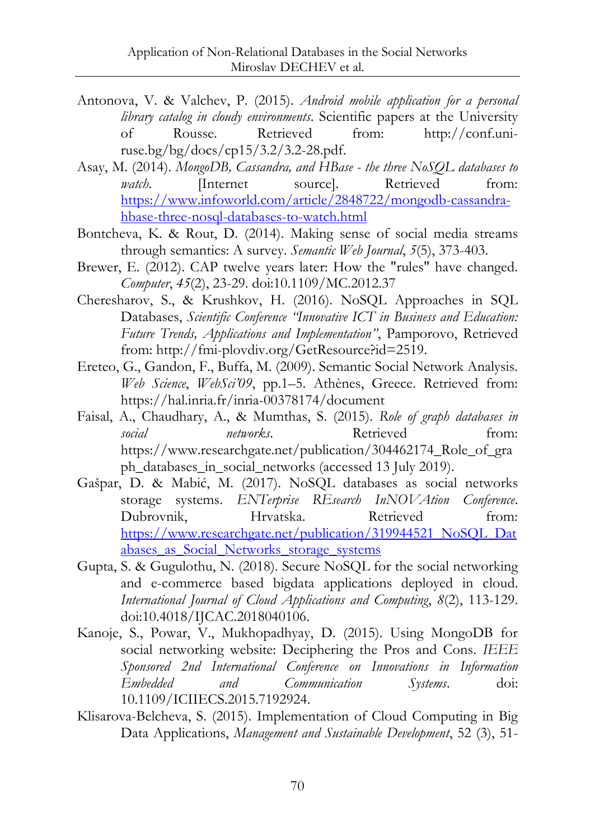- Antonova, V. & Valchev, P. (2015). *Android mobile application for a personal library catalog in cloudy environments*. Scientific papers at the University of Rousse. Retrieved from: [http://conf.uni](http://conf.uni-ruse.bg/bg/docs/cp15/3.2/3.2-28.pdf)[ruse.bg/bg/docs/cp15/3.2/3.2-28.pdf.](http://conf.uni-ruse.bg/bg/docs/cp15/3.2/3.2-28.pdf)
- Asay, М. (2014). *MongoDB, Cassandra, and HBase - the three NoSQL databases to watch*. **Internet** source]. Retrieved from: [https://www.infoworld.com/article/2848722/mongodb-cassandra](https://www.infoworld.com/article/2848722/mongodb-cassandra-hbase-three-nosql-databases-to-watch.html)[hbase-three-nosql-databases-to-watch.html](https://www.infoworld.com/article/2848722/mongodb-cassandra-hbase-three-nosql-databases-to-watch.html)
- Bontcheva, K. & Rout, D. (2014). Making sense of social media streams through semantics: A survey. *Semantic Web Journal*, *5*(5), 373-403.
- Brewer, E. (2012). CAP twelve years later: How the "rules" have changed. *Computer*, *45*(2), 23-29. doi:10.1109/MC.2012.37
- Cheresharov, S., & Krushkov, H. (2016). NoSQL Approaches in SQL Databases, *Scientific Conference "Innovative ICT in Business and Education: Future Trends, Applications and Implementation"*, Pamporovo, Retrieved from: [http://fmi-plovdiv.org/GetResource?id=2519.](http://fmi-plovdiv.org/GetResource?id=2519)
- Ereteo, G., Gandon, F., Buffa, M. (2009). Semantic Social Network Analysis. *Web Science*, *WebSci'09*, pp.1–5. Athènes, Greece. Retrieved from: <https://hal.inria.fr/inria-00378174/document>
- Faisal, A., Chaudhary, A., & Mumthas, S. (2015). *Role of graph databases in social networks*. Retrieved from: [https://www.researchgate.net/publication/304462174\\_Role\\_of\\_gra](https://www.researchgate.net/publication/304462174_Role_of_graph_databases_in_social_networks) [ph\\_databases\\_in\\_social\\_networks](https://www.researchgate.net/publication/304462174_Role_of_graph_databases_in_social_networks) (accessed 13 July 2019).
- Gašpar, D. & Mabić, M. (2017). NoSQL databases as social networks storage systems. *ENTerprise REsearch InNOVAtion Conference*. Dubrovnik, Hrvatska. Retrieved from: [https://www.researchgate.net/publication/319944521\\_NoSQL\\_Dat](https://www.researchgate.net/publication/319944521_NoSQL_Databases_as_Social_Networks_storage_systems) abases as Social Networks storage systems
- Gupta, S. & Gugulothu, N. (2018). Secure NoSQL for the social networking and e-commerce based bigdata applications deployed in cloud. *International Journal of Cloud Applications and Computing*, *8*(2), 113-129. doi:10.4018/IJCAC.2018040106.
- Kanoje, S., Powar, V., Mukhopadhyay, D. (2015). Using MongoDB for social networking website: Deciphering the Pros and Cons. *IEEE Sponsored 2nd International Conference on Innovations in Information Embedded and Communication Systems*. doi: 10.1109/ICIIECS.2015.7192924.
- Klisarova-Belcheva, S. (2015). Implementation of Cloud Computing in Big Data Applications, *Management and Sustainable Development*, 52 (3), 51-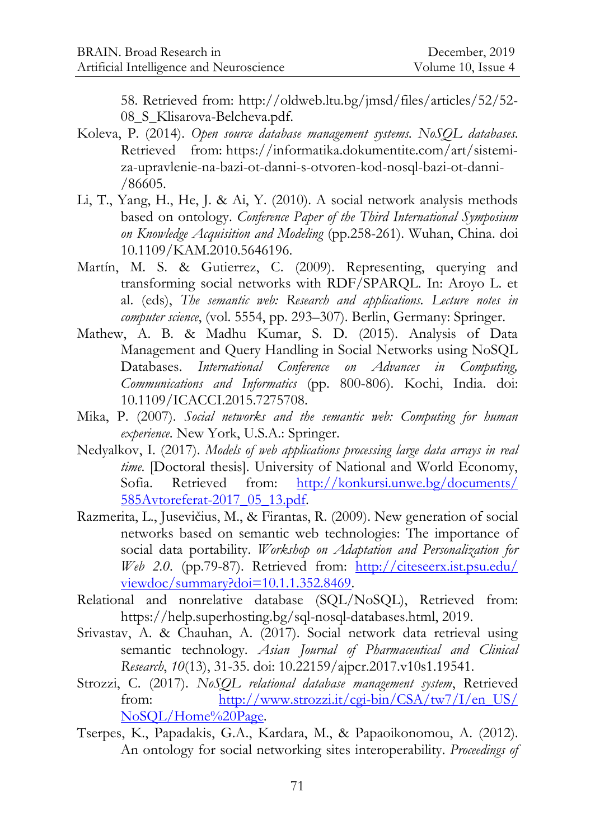58. Retrieved from: [http://oldweb.ltu.bg/jmsd/files/articles/52/52-](http://oldweb.ltu.bg/jmsd/files/articles/52/52-08_S_Klisarova-Belcheva.pdf) 08 S Klisarova-Belcheva.pdf.

- Koleva, P. (2014). *Open source database management systems. NoSQL databases*. Retrieved from: [https://informatika.dokumentite.com/art/sistemi](https://informatika.dokumentite.com/art/sistemi-za-upravlenie-na-bazi-ot-danni-s-otvoren-kod-nosql-bazi-ot-danni-/86605)[za-upravlenie-na-bazi-ot-danni-s-otvoren-kod-nosql-bazi-ot-danni-](https://informatika.dokumentite.com/art/sistemi-za-upravlenie-na-bazi-ot-danni-s-otvoren-kod-nosql-bazi-ot-danni-/86605) [/86605.](https://informatika.dokumentite.com/art/sistemi-za-upravlenie-na-bazi-ot-danni-s-otvoren-kod-nosql-bazi-ot-danni-/86605)
- Li, T., Yang, H., He, J. & Ai, Y. (2010). A social network analysis methods based on ontology. *Conference Paper of the Third International Symposium on Knowledge Acquisition and Modeling* (pp.258-261). Wuhan, China. doi 10.1109/KAM.2010.5646196.
- Martín, M. S. & Gutierrez, C. (2009). Representing, querying and transforming social networks with RDF/SPARQL. In: Aroyo L. et al. (eds), *The semantic web: Research and applications. Lecture notes in computer science*, (vol. 5554, pp. 293–307). Berlin, Germany: Springer.
- Mathew, A. B. & Madhu Kumar, S. D. (2015). Analysis of Data Management and Query Handling in Social Networks using NoSQL Databases. *International Conference on Advances in Computing, Communications and Informatics* (pp. 800-806). Kochi, India. doi: 10.1109/ICACCI.2015.7275708.
- Mika, P. (2007). *Social networks and the semantic web: Computing for human experience*. New York, U.S.A.: Springer.
- Nedyalkov, I. (2017). *Models of web applications processing large data arrays in real time*. [Doctoral thesis]. University of National and World Economy, Sofia. Retrieved from: [http://konkursi.unwe.bg/documents/](http://konkursi.unwe.bg/documents/%0b585Avtoreferat-2017_05_13.pdf) [585Avtoreferat-2017\\_05\\_13.pdf.](http://konkursi.unwe.bg/documents/%0b585Avtoreferat-2017_05_13.pdf)
- Razmerita, L., Jusevičius, M., & Firantas, R. (2009). New generation of social networks based on semantic web technologies: The importance of social data portability. *Workshop on Adaptation and Personalization for Web 2.0*. (pp.79-87). Retrieved from: [http://citeseerx.ist.psu.edu/](http://citeseerx.ist.psu.edu/%0bviewdoc/summary?doi=10.1.1.352.8469) [viewdoc/summary?doi=10.1.1.352.8469.](http://citeseerx.ist.psu.edu/%0bviewdoc/summary?doi=10.1.1.352.8469)
- Relational and nonrelative database (SQL/NoSQL), Retrieved from: [https://help.superhosting.bg/sql-nosql-databases.html,](https://help.superhosting.bg/sql-nosql-databases.html) 2019.
- Srivastav, A. & Chauhan, A. (2017). Social network data retrieval using semantic technology. *Asian Journal of Pharmaceutical and Clinical Research*, *10*(13), 31-35. doi: 10.22159/ajpcr.2017.v10s1.19541.
- Strozzi, C. (2017). *NoSQL relational database management system*, Retrieved from: [http://www.strozzi.it/cgi-bin/CSA/tw7/I/en\\_US/](http://www.strozzi.it/cgi-bin/CSA/tw7/I/en_US/%0bNoSQL/Home%20Page) [NoSQL/Home%20Page](http://www.strozzi.it/cgi-bin/CSA/tw7/I/en_US/%0bNoSQL/Home%20Page)*.*
- Tserpes, K., Papadakis, G.A., Kardara, M., & Papaoikonomou, A. (2012). An ontology for social networking sites interoperability. *Proceedings of*